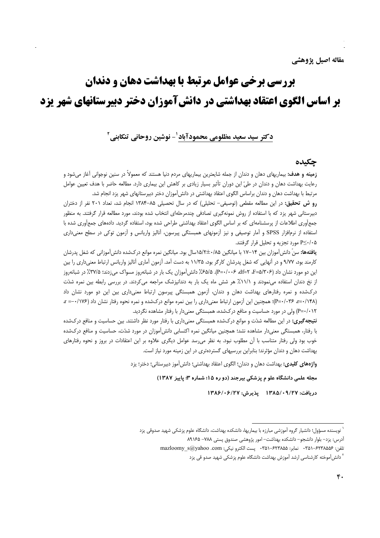# **بررسی برخی عوامل مرتبط با بهداشت دهان و دندان** بر اساس الگوی اعتقاد بهداشتی در دانشآموزان دختر دبیرستانهای شهر یزد

دكتر سيد سعيد مظلومي محمودآباد ل- نوشين روحاني تنكابني آ

### جكىدە

**زمینه و هدف:** بیماریهای دهان و دندان از جمله شایعترین بیماریهای مردم دنیا هستند که معمولاً در سنین نوجوانی آغاز می شود و رعایت بهداشت دهان و دندان در طیّ این دوران تأثیر بسیار زیادی بر کاهش این بیماری دارد. مطالعه حاضر با هدف تعیین عوامل مرتبط با بهداشت دهان و دندان براساس الگوی اعتقاد بهداشتی در دانشآموزان دختر دبیرستانهای شهر یزد انجام شد.

رو ش تحقیق: در این مطالعه مقطعی (توصیفی- تحلیلی) که در سال تحصیلی ۸۵-۱۳۸۴ انجام شد، تعداد ۲۰۱ نفر از دختران دبیرستانی شهر یزد که با استفاده از روش نمونهگیری تصادفی چندمرحلهای انتخاب شده بودند، مورد مطالعه قرار گرفتند. به منظور جمع آوری اطلاعات از پرسشنامهای که بر اساس الگوی اعتقاد بهداشتی طراحی شده بود، استفاده گردید. دادههای جمع آوری شده با استفاده از نرم|فزار SPSS و آمار توصیفی و نیز آزمونهای همبستگی پیرسون، آنالیز واریانس و آزمون توکی در سطح معنیداری <sup>0≤۰/</sup>۰۵ مورد تجزیه و تحلیل قرار گرفتند.

ی**افتهها:** سنّ دانش[موزان بین ۱۴ –۱۷ با میانگین ۸۵/۰±۱۵/۲سال بود. میانگین نمره موانع درکشده دانش[موزانی که شغل پدرشان کارمند بود، ۹/۷۷ و در آنهایی که شغل پدرشان کارگر بود، ۱۱/۳۵ به دست آمد. آزمون آماری آنالیز واریانس ارتباط معنیداری را بین این دو مورد نشان داد (۶+۵/۲+۳ af=۲ ،F=۵/۳+۶). ۵/۵٪ دانش آموزان یک بار در شبانهروز مسواک میزدند؛ ۲۷/۵٪ در شبانهروز از نخ دندان استفاده مینمودند و ۱۱/۱٪ هر شش ماه یک بار به دندانپزشک مراجعه میکردند. در بررسی رابطه بین نمره شدّت درکشده و نمره رفتارهای بهداشت دهان و دندان، آزمون همبستگی پیرسون ارتباط معنیداری بین این دو مورد نشان داد (P=٠/٠٣۶ ، =r)؛ همچنین این آزمون ارتباط معنیداری را بین نمره موانع درکشده و نمره نحوه رفتار نشان داد (۱۷۶/۰= a P=۰/۰۱۲) ولی در مورد حساسیت و منافع درکشده، همبستگی معنی دار با رفتار مشاهده نگردید.

**نتیجه تیری:** در این مطالعه شدّت و موانع درکشده همبستگی معنیداری با رفتار مورد نظر داشتند. بین حساسیت و منافع درکشده با رفتار، همبستگی معنیدار مشاهده نشد؛ همچنین میانگین نمره اکتسابی دانش[موزان در مورد شدّت، حساسیت و منافع درکشده خوب بود ولی رفتار متناسب با آن مطلوب نبود. به نظر می سد عوامل دیگری علاوه بر این اعتقادات در بروز و نحوه رفتارهای بهداشت دهان و دندان مؤثرند؛ بنابراین بررسیهای گستردهتری در این زمینه مورد نیاز است.

واژههای کلیدی: بهداشت دهان و دندان؛ الگوی اعتقاد بهداشتی؛ دانش آموز دبیرستانی؛ دختر؛ یزد

مجله علمی دانشگاه علو م پزشکی بیرجند (دو ره ۱۵؛ شماره ۳؛ پاییز ۱۳۸۷)

دريافت: ۱۳۸۵/۰۹/۲۷ يذيرش: ۱۳۸۶/۰۶/۲۷

<sup>ّ</sup> نویسنده مسؤول؛ دانشیار گروه آموزشی مبارزه با بیماریها، دانشکده بهداشت، دانشگاه علوم پزشکی شهید صدوقی یزد

آدرس: يزد– بلوار دانشجو– دانشكده بهداشت– امور پژوهشی صندوق پستی ٧٨٨– ٨٩١۶۵

تلفن: ۶۲۳۸۵۵۶–۳۵۱ · نمابر: ۶۲۳۸۵۵–۴۵۱ · پست الكترو نيكي: mazloomy\_s@yahoo .com

<sup>&</sup>lt;sup>۲</sup> دانش]موخته کارشناسی ارشد آموزش بهداشت دانشگاه علوم پزشکی شهید صدو قی یزد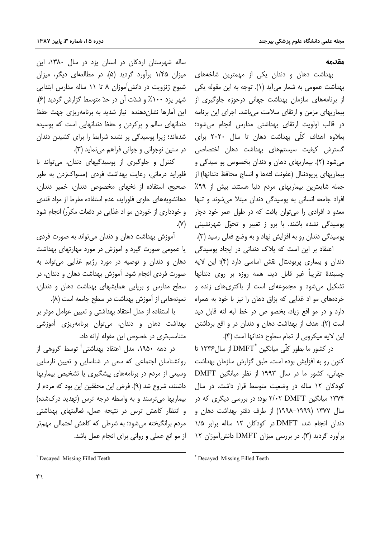#### مقدمه

بهداشت دهان و دندان یکی از مهمترین شاخههای بهداشت عمومی به شمار میآید (۱). توجه به این مقوله یکی از برنامههای سازمان بهداشت جهانی درحوزه جلوگیری از بیماریهای مزمن و ارتقای سلامت میباشد. اجرای این برنامه در قالب اولویت ارتقای بهداشتی مدارس انجام میشود؛ بعلاوه اهداف کلّی بهداشت دهان تا سال ۲۰۲۰ برای گسترش کیفیت سیستمهای بهداشت دهان اختصاصی میشود (۲). بیماریهای دهان و دندان بخصوص پو سیدگی و بيماريهاي پريودنتال (عفونت لثهها و انساج محافظ دندانها) از جمله شایعترین بیماریهای مردم دنیا هستند. بیش از ۹۹٪ افراد جامعه انسانی به یوسیدگی دندان مبتلا می شوند و تنها معدو د افرادي را مي توان يافت كه در طول عمر خود دچار پوسیدگی نشده باشند. با برو ز تغییر و تحوّل شهرنشینی يوسيدگي دندان رو به افزايش نهاد و به وضع فعلي رسيد (٣).

اعتقاد بر این است که پلاک دندانی در ایجاد پوسیدگی دندان و بیماری پریودنتال نقش اساسی دارد (۴)؛ این لایه چسبندهٔ تقریباً غیر قابل دید، همه روزه بر روی دندانها تشکیل می شود و مجموعهای است از باکتریهای زنده و خردههای مو اد غذایی که بزاق دهان را نیز با خود به همراه دارد و در مو اقع زیاد، بخصو ص در خط لبه لثه قابل دید است (۲). هدف از بهداشت دهان و دندان در و اقع برداشتن این لایه میکروبی از تمام سطوح دندانها است (۴).

در كشور ما بطور كلّى ميانگين \*DMFT از سال ۱۳۳۶ تا کنون رو به افزایش بوده است. طبق گزارش سازمان بهداشت جهانی، کشور ما در سال ۱۹۹۳ از نظر میانگین DMFT کودکان ۱۲ ساله در وضعیت متوسط قرار داشت. در سال ۱۳۷۴ میانگین DMFT ۲/۰۲ بود؛ در بررسی دیگری که در سال ۱۳۷۷ (۱۹۹۹–۱۹۹۸) از طرف دفتر بهداشت دهان و دندان انجام شد، DMFT در کودکان ۱۲ ساله برابر ۱/۵ برآورد گردید (۳). در بررسی میزان DMFT دانش آموزان ۱۲

آموزش بهداشت دهان و دندان می تواند به صورت فردی یا عمومی صورت گیرد و آموزش در مورد مهارتهای بهداشت دهان و دندان و توصیه در مورد رژیم غذایی می تواند به صورت فردی انجام شود. آموزش بهداشت دهان و دندان، در سطح مدارس وبریایی همایشهای بهداشت دهان و دندان، نمونههایی از آموزش بهداشت در سطح جامعه است (۸).

ساله شهرستان اردکان در استان یزد در سال ۱۳۸۰، این

میزان ۱/۴۵ برآورد گردید (۵). در مطالعهای دیگر، میزان

شیوع ژنژویت در دانش آموزان ۸ تا ۱۱ ساله مدارس ابتدایی

شهر یزد ۱۰۰٪ و شدّت آن در حدّ متوسط گزارش گردید (۶).

این آمارها نشان دهنده \_نیاز شدید به برنامهریزی جهت حفظ دندانهای سالم و پرکردن و حفظ دندانهایی است که پوسیده

شدهاند؛ زیرا پوسیدگی پر نشده شرایط را برای کشیدن دندان

کنترل و جلوگیری از پوسیدگیهای دندان، میتواند با

فلوراید درمانی، رعایت بهداشت فردی (مسواکزدن به طور صحیح، استفاده از نخهای مخصوص دندان، خمیر دندان،

دهانشویههای حاوی فلوراید، عدم استفاده مفرط از مواد قندی

در سنين نوجواني و جواني فراهم مي نمايد (٣).

با استفاده از مدل اعتقاد بهداشتی و تعیین عوامل موثر بر بهداشت دهان و دندان، میتوان برنامهریزی آموزشی متناسبتری در خصوص این مقوله ارائه داد.

در دهه ۱۹۵۰، مدل اعتقاد بهداشتی<sup>†</sup> توسط گروهی از روانشناسان اجتماعی که سعی در شناسایی و تعیین نارسایی وسیعی از مردم در برنامههای پیشگیری یا تشخیص بیماریها داشتند، شروع شد (٩). فرض این محققین این بود که مردم از بیماریها می ترسند و به واسطه درجه ترس (تهدید درکشده) و انتظار کاهش ترس در نتیجه عمل، فعالیتهای بهداشتی مردم برانگیخته می شود؛ به شرطی که کاهش احتمالی مههتر از مو انع عملی و روانی برای انجام عمل باشد.

و خودداری از خوردن مو اد غذایی در دفعات مکرّر) انجام شود  $\cdot$  (Y).

<sup>&</sup>lt;sup>†</sup> Decayed Missing Filled Teeth

<sup>\*</sup> Decayed Missing Filled Teeth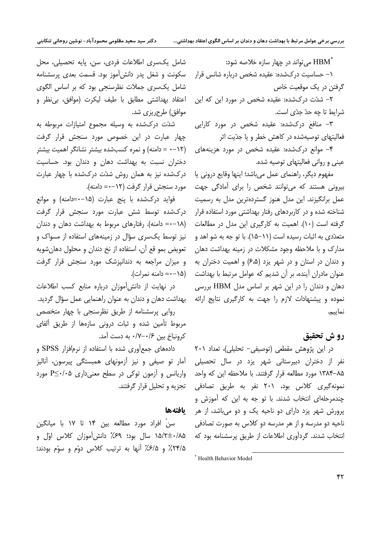می تواند در چهار سازه خلاصه شود:  $\operatorname{HBM}^*$ 

۱– حساسیت در کشده: عقیده شخص درباره شانس قرار گرفتن در یک موقعیت خاص

۲- شدّت درکشده: عقیده شخص در مورد این که این شرايط تا چه حدّ جدّى است.

۳- منافع درکشده: عقیده شخص در مورد کارایی فعالیتهای توصیهشده در کاهش خطر و یا جدّیت اثر

۴- موانع درکشده: عقیده شخص در مورد هزینههای عینی و روانی فعالیتهای توصیه شده.

مفهوم دیگر، راهنمای عمل میباشد؛ اینها وقایع درونی یا بیرونی هستند که می توانند شخص را برای آمادگی جهت عمل برانگیزند. این مدل هنوز گستردهترین مدل به رسمیت شناخته شده و در کاربردهای رفتار بهداشتی مورد استفاده قرار گرفته است (۱۰). اهمیت به کارگیری این مدل در مطالعات متعدّدی به اثبات رسیده است (۱۱–۱۵). با تو جه به شو اهد و مدارک و با ملاحظه وجود مشکلات در زمینه بهداشت دهان و دندان در استان و در شهر یزد (۶٬۵) و اهمیت دختران به عنوان مادران آینده، بر آن شدیم که عوامل مرتبط با بهداشت (۱۵–۰= دامنه نمرات). دهان و دندان را در این شهر بر اساس مدل HBM بررسی نموده و پیشنهادات لازم را جهت به کارگیری نتایج ارائه نماييم.

# رو ش تحقيق

در این پژوهش مقطعی (توصیفی- تحلیلی)، تعداد ۲۰۱ نفر از دختران دبیرستانی شهر یزد در سال تحصیلی ۸۵–۱۳۸۴ مورد مطالعه قرار گرفتند. با ملاحظه این که واحد نمونه گیری کلاس بود، ۲۰۱ نفر به طریق تصادفی چندمرحلهای انتخاب شدند. با تو جه به این که آموزش و پرورش شهر پزد دارای دو ناحیه یک و دو میباشد، از هر ناحيه دو مدرسه و از هر مدرسه دو كلاس به صورت تصادفي انتخاب شدند. گردآوری اطلاعات از طریق پرسشنامه بود که

شامل یکسری اطلاعات فردی، سن، پایه تحصیلی، محل سکونت و شغل پدر دانش آموز بود. قسمت بعدی پرسشنامه شامل یکسری جملات نظرسنجی بود که بر اساس الگوی اعتقاد بهداشتی مطابق با طیف لیکرت (موافق، بی نظر و موافق) طرح ریزی شد.

شدّت درکشده به وسیله مجموع امتیازات مربوطه به چهار عبارت در این خصوص مورد سنجش قرار گرفت (١٢–٠ = دامنه) و نمره كسبشده بيشتر نشانگر اهميت بيشتر دختران نسبت به بهداشت دهان و دندان بود. حساسیت درکشده نیز به همان روش شدّت درکشده با چهار عبارت مورد سنجش قرار گرفت (۱۲–۰= دامنه).

فواید درکشده با پنج عبارت (۱۵–۰=دامنه) و موانع درکشده توسط شش عبارت مورد سنجش قرار گرفت (١٨-٠= دامنه). رفتارهای مربوط به بهداشت دهان و دندان نیز توسط یک سری سؤال در زمینههای استفاده از مسواک و تعويض بمو قع آن، استفاده از نخ دندان و محلول دهان شويه و میزان مراجعه به دندانپزشک مورد سنجش قرار گرفت

در نهایت از دانش آموزان درباره منابع کسب اطلاعات بهداشت دهان و دندان به عنوان راهنمایی عمل سؤال گردید.

روایی پرسشنامه از طریق نظرسنجی با چهار متخصص مربوط تأمین شده و ثبات درونی سازهها از طریق آلفای كرونباخ بين ١۶-٧/٠ به دست آمد.

دادههای جمع آوری شده با استفاده از نرمافزار SPSS و آمار تو صیفی و نیز آزمونهای همبستگی پیرسون، آنالیز واریانس و آزمون توکی در سطح معنی داری  $P \leq \cdot / \cdot 2$  مورد تجزیه و تحلیل قرار گرفتند.

#### بافتهها

سنٌ افراد مورد مطالعه بين ١۴ تا ١٧ با ميانگين ۰/۸۵ +۱۵/۲± سال بود؛ ۶۹٪ دانش آموزان کلاس اوّل و ۲۴/۵٪ و ۶/۵٪ آنها به ترتیب کلاس دوّم و سوّم بودند؛

<sup>\*</sup> Health Behavior Model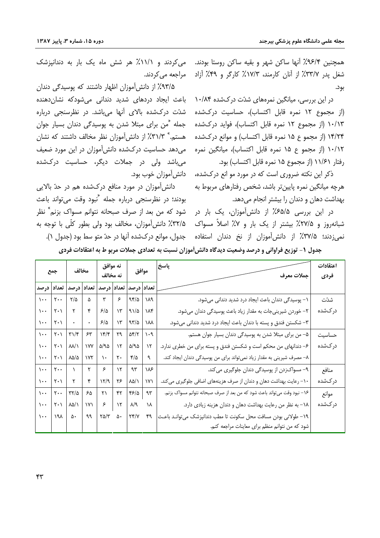همچنین ۹۶/۴٪ آنها ساکن شهر و بقیه ساکن روستا بودند. شغل پدر ۳۳/۷٪ از آنان کارمند، ۱۷/۳٪ کارگر و ۴۹٪ آزاد بود.

در این بررسی، میانگین نمرههای شدّت درکشده ۱۰/۸۴ (از مجموع ۱۲ نمره قابل اکتساب)، حساسیت درکشده ۱۰/۱۳ (از مجموع ۱۲ نمره قابل اکتساب)، فواید درکشده ۱۴/۲۴ (از مجموع ۱۵ نمره قابل اکتساب) و موانع درکشده ۱۰/۱۲ (از مجمو ع ۱۵ نمره قابل اکتساب)، میانگین نمره رفتار ١١/۶١ (از مجموع ١۵ نمره قابل اكتساب) بود.

ذکر این نکته ضروری است که در مورد مو انع درکشده، هرچه میانگین نمره پایینتر باشد، شخص رفتارهای مربوط به بهداشت دهان و دندان را بیشتر انجام می دهد.

در این بررسی ۶۵/۵٪ از دانشآموزان، یک بار در شبانهروز و ۲۷/۵٪ بیشتر از یک بار و ۷٪ اصلاً مسواک نمی;زدند؛ ۳۷/۵٪ از دانش،آموزان از نخ دندان استفاده

می کردند و ۱۱/۱٪ هر شش ماه یک بار به دندانیزشک مراجعه مے کردند.

۹۳/۵٪ از دانش آموزان اظهار داشتند که پوسیدگی دندان باعث ایجاد دردهای شدید دندانی میشودکه نشاندهنده شدّت درکشده بالای آنها میباشد. در نظرسنجی درباره جمله (ٌمن برای مبتلا شدن به پوسیدگی دندان بسیار جوان هستم. \* ٣١/٣٪ از دانش آموزان نظر مخالف داشتند که نشان می دهد حساسیت در کشده دانش آموزان در این مورد ضعیف میباشد ولی در جملات دیگر، حساسیت درکشده دانش[موزان خوب بود.

دانش آموزان در مورد منافع درکشده هم در حدّ بالایی بودند؛ در نظرسنجي درباره جمله "نبود وقت مي تواند باعث شود که من بعد از صرف صبحانه نتوانم مسواک بزنم ٌ نظر ۳۲/۵٪ دانش آموزان، مخالف بود ولی بطور کلّی با توجه به جدول، موانع در کشده آنها در حدّ متو سط بود (جدول ۱).

جدول ۱- توزیع فراوانی و درصد وضعیت دیدگاه دانش[موزان نسبت به تعدادی جملات مربو ط به اعتقادات فردی

| جمع                      |                               | مخالف                                                                          |                    | نه موافق<br>نه مخالف        |                                                                                              | موافق                               |                                | پاسخ<br>  جملات معرف                                                      | اعتقادات<br>فردى |
|--------------------------|-------------------------------|--------------------------------------------------------------------------------|--------------------|-----------------------------|----------------------------------------------------------------------------------------------|-------------------------------------|--------------------------------|---------------------------------------------------------------------------|------------------|
|                          |                               |                                                                                |                    |                             |                                                                                              |                                     |                                |                                                                           |                  |
|                          |                               | تعداد  درصد  تعداد  درصد                                                       |                    |                             |                                                                                              | تعداد درصد  تعداد درصد              |                                |                                                                           |                  |
| $\mathcal{L}$            | $\mathbf{y}$                  | $\zeta/\zeta$                                                                  | $\Delta$           | $\mathbf{r}$                | $\mathfrak{S}$                                                                               | 98/2                                | $\gamma\lambda\uparrow$        | ١- پوسیدگی دندان باعث ایجاد درد شدید دندانی میشود.                        | شدّت             |
| $\cdots$                 | $\mathbf{Y} \cdot \mathbf{V}$ | $\mathbf{r}$                                                                   | $\mathbf{\hat{r}}$ | $\mathcal{S}/\Delta$        | $\backslash \mathbf{Y}$                                                                      | 91/2                                | $\mathcal{M}^e$                | ٢- خوردن شیرینیجات به مقدار زیاد باعث پوسیدگی دندان میشود.                | در کشده          |
| $\cdots$                 | $\mathbf{Y} \cdot \mathbf{V}$ | $\begin{array}{ c c c c c }\hline \cdots & \cdots & \cdots \hline \end{array}$ |                    | $\mathcal{S}/\Delta$        | $\mathcal{W}$                                                                                | 97/0                                | $\lambda\lambda$               | ٣- شكستن فندق و پسته با دندان باعث ايجاد درد شديد دنداني مي شود.          |                  |
| $\cdots$                 | $\mathbf{Y} \cdot \mathbf{V}$ | $\Gamma\backslash\mathfrak{f}$                                                 | 55                 | $\gamma$                    |                                                                                              | $\gamma q$ $\Delta \gamma / \gamma$ | $\mathcal{N}\cdot \mathcal{A}$ | ۵- من برای مبتلا شدن به پوسیدگی دندان بسیار جوان هستم.                    | حساسيت           |
| $\sqrt{1 + \frac{1}{2}}$ | $\mathbf{Y} \cdot \mathbf{V}$ | $\lambda\lambda/\lambda$                                                       | $\gamma v$         | $\Delta/\mathfrak{A}\Delta$ | $\backslash \mathbf{Y}$                                                                      | $\Delta/\mathfrak{A}\Delta$         | $\mathcal{N}$                  | ۶– دندانهای من محکم است و شکستن فندق و پسته برای من خطری ندارد.           | در کشده          |
| $\cdots$                 | $\mathbf{Y} \cdot \mathbf{V}$ | $\lambda \Delta/\Delta$ $\gamma \gamma$                                        |                    | $\Delta \star$              | $\mathbf{y}$ .                                                                               | $\mathfrak{r}/\mathfrak{d}$         | $\mathcal{A}$                  | ٨- مصرف شیرینی به مقدار زیاد نمیتواند برای من پوسیدگی دندان ایجاد کند.    |                  |
|                          | $\cdots$ $\cdots$             | $\sqrt{1}$                                                                     | $\mathsf{r}$       | $\epsilon$                  | $\mathcal{N}$                                                                                | $\gamma\gamma$                      | ۱۸۶                            | ۹- مسواکزدن از پوسیدگی دندان جلوگیری می کند.                              | منافع            |
| $\cdots$                 | $\mathsf{Y} \cdot \mathsf{Y}$ | $\Upsilon$                                                                     | $\mathfrak{f}$     | $\gamma$                    | ۲۶                                                                                           | $\lambda\Delta/\lambda$             | $\mathsf{Y}\mathsf{Y}$         | ۱۰– رعایت بهداشت دهان و دندان از صرف هزینههای اضافی جلوگیری می کند.       | دركشده           |
| $\cdots$                 | $\mathbf{y} \cdot \mathbf{y}$ | $\tau\tau/\Delta$                                                              | ۶۵                 | $\gamma$                    | $\uparrow\uparrow$                                                                           | 45/2                                | $\gamma\gamma$                 | ۱۶– نبود وقت می تواند باعث شود که من بعد از صرف صبحانه نتوانم مسواک بزنم. | موانع            |
| $\cdots$                 | $\mathsf{Y} \cdot \mathsf{Y}$ | $\lambda \Delta / \lambda$                                                     |                    | $ V $ $\zeta$   $V$         |                                                                                              | $\lambda/\mathfrak{q}$              | ١٨                             | ١٨- به نظر من رعايت بهداشت دهان و دندان هزينه زيادي دارد.                 | دركشده           |
|                          | $1.2$ $191$ $0.2$             |                                                                                | 99                 |                             | $\mathsf{Y} \Delta / \mathsf{Y} \quad \Delta \cdot \quad \mathsf{Y} \mathsf{Y} / \mathsf{Y}$ |                                     | ۴۹                             | ١٩- طولاني بودن مسافت محل سكونت تا مطب دندانپزشك مي توانـد باعـث          |                  |
|                          |                               |                                                                                |                    |                             |                                                                                              |                                     |                                | شود که من نتوانم منظم برای معاینات مراجعه کنم.                            |                  |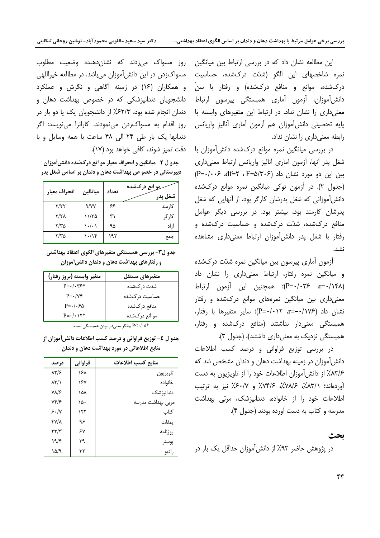این مطالعه نشان داد که در بررسی ارتباط بین میانگین نمره شاخصهای این الگو (شدّت درکشده، حساسیت درکشده، موانع و منافع درکشده) و رفتار با سنّ دانش[موزان، آزمون آماری همبستگی پیرسون ارتباط معنی داری را نشان نداد. در ارتباط این متغیرهای وابسته با پایه تحصیلی دانش[موزان هم آزمون آماری آنالیز واریانس رابطه معنی داری را نشان نداد.

در بررسی میانگین نمره موانع درکشده دانش[موزان با شغل پدر أنها، أزمون أماري أناليز واريانس ارتباط معنىداري  $(P = \cdot / \cdot \cdot \cdot$  af=۲ ، F=۵/۳۰۶ (۲۰۶-) بین این دو مورد نشان داد (جدول ۲). در آزمون توکی میانگین نمره موانع درکشده دانش آموزانی که شغل پدرشان کارگر بود، از آنهایی که شغل پدرشان کارمند بود، بیشتر بود. در بررسی دیگر عوامل منافع درکشده، شدّت درکشده و حساسیت درکشده و رفتار با شغل یدر دانش آموزان ارتباط معنیداری مشاهده نشد.

آزمون آماری پیرسون بین میانگین نمره شدّت درکشده و میانگین نمره رفتار، ارتباط معنیداری را نشان داد (۳=۰/۱۴۸). P=۰/۰۳۶)؛ همچنین این آزمون ارتباط معنیداری بین میانگین نمرههای موانع درکشده و رفتار نشان داد (۱۷۶–=a- ۰/۱۲+=P)؛ سایر متغیرها با رفتار، همبستگی معنیدار نداشتند (منافع درکشده و رفتار، همبستگی نزدیک به معنیداری داشتند)، (جدول ۳).

در بررسی توزیع فراوانی و درصد کسب اطلاعات دانش آموزان در زمینه بهداشت دهان و دندان مشخص شد که ۸۳/۶٪ از دانش آموزان اطلاعات خود را از تلویزیون به دست آوردهاند؛ ٣٨١٪، ٧٨١٪، ٧٣١۶٪ و ٤٠١٧٪ نيز به ترتيب اطلاعات خود را از خانواده، دندانیزشک، مربّی بهداشت مدرسه و کتاب به دست آورده بودند (جدول ۴).

## ىحث

در پژوهش حاضر ۹۳٪ از دانش آموزان حداقل یک بار در

روز مسواک میزدند که نشانِدهنده وضعیت مطلوب مسواکزدن در این دانش[موزان میباشد. در مطالعه خیراللهی و همکاران (۱۶) در زمینه آگاهی و نگرش و عملکرد دانشجویان دندانپزشکی که در خصوص بهداشت دهان و دندان انجام شده بود، ۶۲/۳٪ از دانشجویان یک یا دو بار در روز اقدام به مسواکزدن مینمودند. کارانزا مینویسد: اگر دندانها یک بار طی ۲۴ الی ۴۸ ساعت با همه وسایل و با دقت تميز شوند، كافي خواهد بود (١٧).

جدو ل ۲- میانگین و انحراف معیار مو انع درکشده دانش[موزان دبیرستانی در خصو ص بهداشت دهان و دندان بر اساس شغل پدر

| انحراف معيار | ميانگين | تعداد | <b>مو انع درکشده</b> |
|--------------|---------|-------|----------------------|
|              |         |       | شغل پدر              |
| Y/YY         | 9/YY    | ۶۶    | كارمند               |
| ۲/۲۸         | ۱۱/۳۵   | ۳۱    | کا, گر               |
| ۲/۳۵         | ۱۰/۰۱   | ۹۵    | اً;اد                |
| ۲/۳۵         | ۱۰/۱۴   | ۱۹۲   | جمع                  |

جدو ل٣- بررسي همبستگي متغيرهاي الگوي اعتقاد بهداشتي و رفتارهای بهداشت دهان و دندان دانش آموزان

| متغير وابسته (بروز رفتار)     | متغيرهاي مستقل |
|-------------------------------|----------------|
| $P = \cdot / \cdot \gamma$ ۶* | شدت در کشده    |
| $P = \cdot / \sqrt{r}$        | حساسیت در کشده |
| $P = \cdot / \cdot 50$        | منافع دركشده   |
| $P = \cdot / \cdot \sqrt{*}$  | مو انع درکشده  |

\*P<٠/٠۵ بیانگر معنیدار بودن همبستگی است.

جدو ل ٤- توزيع فراواني و درصد كسب اطلاعات دانش[موزان از منابع اطلاعاتی در مورد بهداشت دهان و دندان

| درصد                              | فراواني | منابع كسب اطلاعات |
|-----------------------------------|---------|-------------------|
| ۸۳/۶                              | ۱۶۸     | تلويزيون          |
| $\lambda$ ۳/ $\lambda$            | ۱۶۷     | خانواده           |
| ۷۸/۶                              | ۱۵۸     | دندانپز شک        |
| $Yf/\epsilon$                     | ۱۵۰     | مربى بهداشت مدرسه |
| 5.1                               | ۱۲۲     | كتاب              |
| ۴۷/۸                              | ۹۶      | يمفلت             |
| $\mathbf{r}\mathbf{r}/\mathbf{r}$ | ۶٧      | روزنامه           |
| ۱۹/۴                              | ٣٩      | پوستر             |
| ۱۵/۹                              | ٣٢      | راديو             |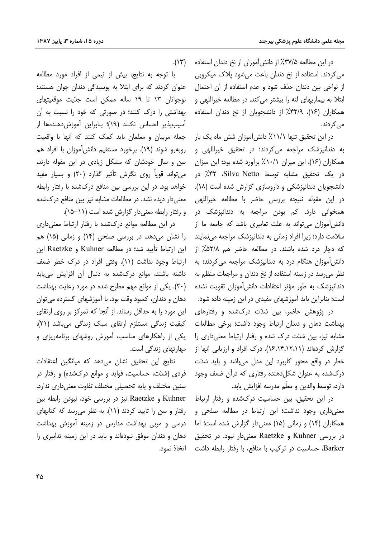در این مطالعه ۳۷/۵٪ از دانش آموزان از نخ دندان استفاده می کردند. استفاده از نخ دندان باعث می شود پلاک میکروبی از نواحی بین دندان حذف شود و عدم استفاده از آن احتمال ابتلا به بیماریهای لثه را بیشتر می کند. در مطالعه خیراللهی و همکاران (۱۶)، ۴۲/۹٪ از دانشجویان از نخ دندان استفاده مے کردند.

در این تحقیق تنها ۱۱/۱٪ دانش آموزان شش ماه یک بار به دندانپزشک مراجعه میکردند؛ در تحقیق خیراللهی و همکاران (۱۶)، این میزان ۱۰/۱٪ برآورد شده بود؛ این میزان در یک تحقیق مشابه توسط Silva Netto، ۴۲٪ در دانشجویان دندانیزشکی و داروسازی گزارش شده است (۱۸). در این مقوله نتیجه بررسی حاضر با مطالعه خیراللهی همخوانی دارد. کم بودن مراجعه به دندانپزشک در دانش آموزان می تواند به علت تعابیری باشد که جامعه ما از سلامت دارد؛ زیرا افراد زمانی به دندانیزشک مراجعه می نمایند كه دچار درد شده باشند. در مطالعه حاضر هم ۵۲/۸٪ از دانش آموزان هنگام درد به دندانپزشک مراجعه می کردند؛ به نظر می رسد در زمینه استفاده از نخ دندان و مراجعات منظم به دندانیزشک به طور مؤثر اعتقادات دانش آموزان تقویت نشده است؛ بنابراین باید آموزشهای مفیدی در این زمینه داده شود.

در پژوهش حاضر، بین شدّت درکشده و رفتارهای بهداشت دهان و دندان ارتباط وجود داشت؛ برخی مطالعات مشابه نیز، بین شدّت درک شده و رفتار ارتباط معنی داری را گزارش کردهاند (۱۴،۱۴،۱۲،۱۱). درک افراد و ارزیابی آنها از خطر در واقع محور کاربرد این مدل میباشد و باید شدّت درکشده به عنوان شکل دهنده رفتاری که درآن ضعف وجود دارد، توسط والدين و معلّم مدرسه افزايش يابد.

در این تحقیق، بین حساسیت درکشده و رفتار ارتباط معنیداری وجود نداشت؛ این ارتباط در مطالعه صلحی و همکاران (۱۴) و زمانی (۱۵) معنی دار گزارش شده است؛ اما در بررسی Kuhner و Raetzke معنی دار نبود. در تحقیق Barker، حساسیت در ترکیب با منافع، با رفتار رابطه داشت

 $(\lambda \uparrow \uparrow)$ 

با توجه به نتايج، بيش از نيمي از افراد مورد مطالعه عنوان کردند که برای ابتلا به پوسیدگی دندان جوان هستند؛ نوجوانان ١٣ تا ١٩ ساله ممكن است جدّيت موقعيتهاى بهداشتی را درک کنند؛ در صورتی که خود را نسبت به آن آسيبپذير احساس نكنند (١٩)؛ بنابراين آموزشدهندهها از جمله مربیان و معلمان باید کمک کنند که آنها با واقعیت روبهرو شوند (١٩). برخورد مستقيم دانش[موزان با افراد هم سن و سال خودشان که مشکل زیادی در این مقوله دارند، می تواند قویاً روی نگرش تأثیر گذارد (۲۰) و بسیار مفید خواهد بود. در این بررسی بین منافع درکشده با رفتار رابطه معنی دار دیده نشد. در مطالعات مشابه نیز بین منافع درکشده و رفتار رابطه معنى دار گزارش شده است (١١–١۵).

در این مطالعه موانع درکشده با رفتار ارتباط معنیداری را نشان می دهد. در بررسی صلحی (۱۴) و زمانی (۱۵) هم این ارتباط تأیید شد؛ در مطالعه Kuhner و Raetzke این ارتباط وجود نداشت (١١). وقتى افراد در درك خطر ضعف داشته باشند، موانع درکشده به دنبال آن افزایش مییابد (۲۰). یکی از موانع مهم مطرح شده در مورد رعایت بهداشت دهان و دندان، کمبود وقت بود. با آموزشهای گسترده می توان این مورد را به حداقل رساند. از آنجا که تمرکز بر روی ارتقای کیفیت زندگی مستلزم ارتقای سبک زندگی میباشد (۲۱)، یکی از راهکارهای مناسب، آموزش روشهای برنامهریزی و ِ مھارتھای زندگی است.

نتايج اين تحقيق نشان مىدهد كه ميانگين اعتقادات فردی (شدّت، حساسیت، فواید و موانع درکشده) و رفتار در سنین مختلف و پایه تحصیلی مختلف تفاوت معنیداری ندارد. Kuhner و Raetzke نيز در بررسي خود، نبودن رابطه بين رفتار و سن را تایید کردند (١١). به نظر می رسد که کتابهای درسی و مربی بهداشت مدارس در زمینه آموزش بهداشت دهان و دندان موفق نبودهاند و باید در این زمینه تدابیری را اتخاذ نمود.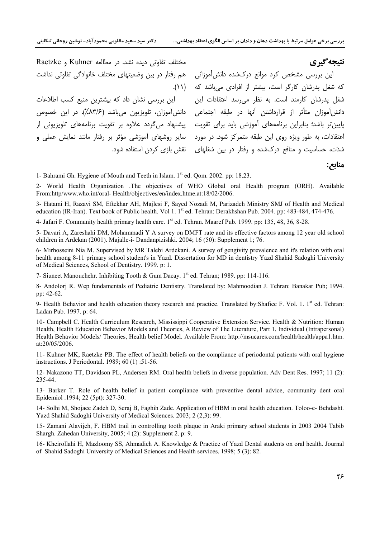مختلف تفاوتی دیده نشد. در مطالعه Kuhner و Raetzke

## نتيجه گيري

منابع:

این بررسی مشخص کرد موانع درکشده دانش آموزانی هم رفتار در بین وضعیتهای مختلف خانوادگی تفاوتی نداشت که شغل پدرشان کارگر است، بیشتر از افرادی می باشد که (۱۱). شغل پدرشان کارمند است. به نظر می رسد اعتقادات این این بررسی نشان داد که بیشترین منبع کسب اطلاعات دانش[موزان متأثر از قرارداشتن آنها در طبقه اجتماعی ِ دانش[موزان، تلویزیون میباشد (۸۳/۶٪). در این خصوص یایین تر باشد؛ بنابراین برنامههای آموزشی باید برای تقویت هییشنهاد می *گ*ردد علاوه بر تقویت برنامههای تلویزیونی از اعتقادات، به طور ویژه روی این طبقه متمرکز شود. در مورد \_ سایر روشهای آموزشی مؤثر بر رفتار مانند نمایش عملی و شدّت، حساسیت و منافع درکشده و رفتار در بین شغلهای هنقش بازی کردن استفاده شود.

1- Bahrami Gh. Hygiene of Mouth and Teeth in Islam. 1<sup>st</sup> ed. Qom. 2002. pp: 18.23.

2- World Health Organization .The objectives of WHO Global oral Health program (ORH). Available From:http/www.who.int/oral-Health/objectives/en/index.htme.at:18/02/2006.

3- Hatami H, Razavi SM, Eftekhar AH, Majlesi F, Sayed Nozadi M, Parizadeh Ministry SMJ of Health and Medical education (IR-Iran). Text book of Public health. Vol 1. 1<sup>st</sup> ed. Tehran: Derakhshan Pub. 2004. pp: 483-484, 474-476.

4- Jafari F. Community health primary health care. 1<sup>st</sup> ed. Tehran. Maaref Pub. 1999. pp: 135, 48, 36, 8-28.

5- Davari A, Zareshahi DM, Mohammadi Y A survey on DMFT rate and its effective factors among 12 year old school children in Ardekan (2001). Majalle-i- Dandanpizishki. 2004; 16 (50): Supplement 1; 76.

6- Mirhosseini Nia M. Supervised by MR Talebi Ardekani. A survey of gengivity prevalence and it's relation with oral health among 8-11 primary school student's in Yazd. Dissertation for MD in dentistry Yazd Shahid Sadoghi University of Medical Sciences, School of Dentistry. 1999. p: 1.

7- Siuneet Manouchehr. Inhibiting Tooth & Gum Dacay. 1st ed. Tehran; 1989. pp: 114-116.

8- Andolorj R. Wep fundamentals of Pediatric Dentistry. Translated by: Mahmoodian J. Tehran: Banakar Pub; 1994. pp: 42-62.

9- Health Behavior and health education theory research and practice. Translated by:Shafiec F. Vol. 1. 1<sup>st</sup> ed. Tehran: Ladan Pub. 1997. p: 64.

10- Campbell C. Health Curriculum Research, Mississippi Cooperative Extension Service. Health & Nutrition: Human Health, Health Education Behavior Models and Theories, A Review of The Literature, Part 1, Individual (Intrapersonal) Health Behavior Models/ Theories, Health belief Model. Available From: http://msucares.com/health/health/appa1.htm. at: $20/05/2006$ .

11- Kuhner MK, Raetzke PB. The effect of health beliefs on the compliance of periodontal patients with oral hygiene instructions. J Periodontal. 1989; 60 (1):51-56.

12- Nakazono TT, Davidson PL, Andersen RM. Oral health beliefs in diverse population. Adv Dent Res. 1997; 11 (2): 235-44.

13- Barker T. Role of health belief in patient compliance with preventive dental advice, community dent oral Epidemiol .1994; 22 (5pt): 327-30.

14- Solhi M, Shojaee Zadeh D, Seraj B, Faghih Zade. Application of HBM in oral health education. Toloo-e- Behdasht. Yazd Shahid Sadoghi University of Medical Sciences. 2003; 2 (2,3): 99.

15- Zamani Alavijeh, F. HBM trail in controlling tooth plaque in Araki primary school students in 2003 2004 Tabib Shargh. Zahedan University, 2005; 4 (2): Supplement 2. p: 9.

16- Kheirollahi H, Mazloomy SS, Ahmadieh A. Knowledge & Practice of Yazd Dental students on oral health. Journal of Shahid Sadoghi University of Medical Sciences and Health services. 1998; 5 (3): 82.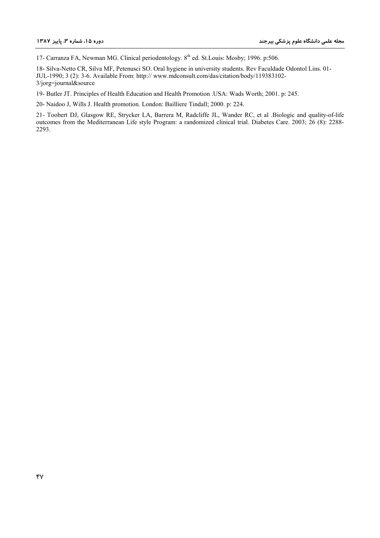17- Carranza FA, Newman MG. Clinical periodentology. 8<sup>th</sup> ed. St.Louis: Mosby; 1996. p:506.

18- Silva-Netto CR, Silva MF, Petenusci SO. Oral hygiene in university students. Rev Faculdade Odontol Lins. 01-JUL-1990; 3 (2): 3-6. Available From: http:// www.mdconsult.com/das/citation/body/119383102- $3/$ jorg=journal&source

19- Butler JT. Principles of Health Education and Health Promotion .USA: Wads Worth; 2001. p: 245.

20- Naidoo J, Wills J. Health promotion. London: Bailliere Tindall; 2000. p: 224.

21- Toobert DJ, Glasgow RE, Strycker LA, Barrera M, Radcliffe JL, Wander RC, et al .Biologic and quality-of-life outcomes from the Mediterranean Life style Program: a randomized clinical trial. Diabetes Care. 2003; 26 (8): 2288-2293.